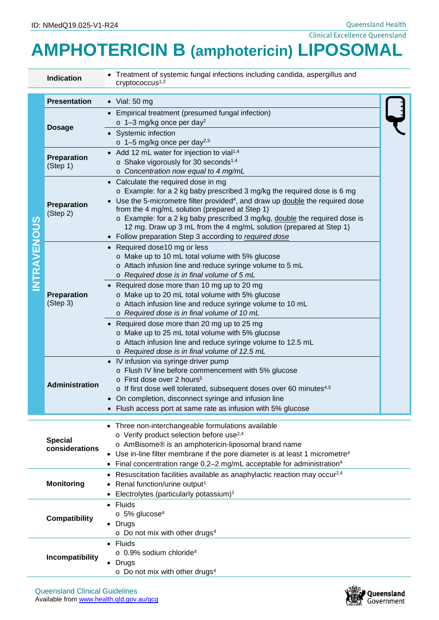Queensland Health Clinical Excellence Queensland

## **AMPHOTERICIN B (amphotericin) LIPOSOMAL**

|                    | <b>Indication</b>                                                                                                                                                                                                     | • Treatment of systemic fungal infections including candida, aspergillus and<br>cryp to coccus <sup>1,2</sup>                                                                                                                                                                                                                                                                                                                                                                                                                                                        |  |  |
|--------------------|-----------------------------------------------------------------------------------------------------------------------------------------------------------------------------------------------------------------------|----------------------------------------------------------------------------------------------------------------------------------------------------------------------------------------------------------------------------------------------------------------------------------------------------------------------------------------------------------------------------------------------------------------------------------------------------------------------------------------------------------------------------------------------------------------------|--|--|
| <b>INTRAVENOUS</b> | <b>Presentation</b>                                                                                                                                                                                                   | $\bullet$ Vial: 50 mg                                                                                                                                                                                                                                                                                                                                                                                                                                                                                                                                                |  |  |
|                    | <b>Dosage</b>                                                                                                                                                                                                         | • Empirical treatment (presumed fungal infection)<br>$\circ$ 1-3 mg/kg once per day <sup>2</sup><br>• Systemic infection<br>$\circ$ 1-5 mg/kg once per day <sup>2,3</sup>                                                                                                                                                                                                                                                                                                                                                                                            |  |  |
|                    | Preparation<br>(Step 1)                                                                                                                                                                                               | Add 12 mL water for injection to vial <sup>1,4</sup><br>$\bullet$<br>o Shake vigorously for 30 seconds <sup>1,4</sup><br>o Concentration now equal to 4 mg/mL                                                                                                                                                                                                                                                                                                                                                                                                        |  |  |
|                    | <b>Preparation</b><br>(Step 2)                                                                                                                                                                                        | Calculate the required dose in mg<br>o Example: for a 2 kg baby prescribed 3 mg/kg the required dose is 6 mg<br>Use the 5-micrometre filter provided <sup>4</sup> , and draw up double the required dose<br>from the 4 mg/mL solution (prepared at Step 1)<br>o Example: for a 2 kg baby prescribed 3 mg/kg, double the required dose is<br>12 mg. Draw up 3 mL from the 4 mg/mL solution (prepared at Step 1)<br>• Follow preparation Step 3 according to required dose                                                                                             |  |  |
|                    | <b>Preparation</b><br>(Step 3)                                                                                                                                                                                        | Required dose10 mg or less<br>o Make up to 10 mL total volume with 5% glucose<br>o Attach infusion line and reduce syringe volume to 5 mL<br>o Required dose is in final volume of 5 mL<br>• Required dose more than 10 mg up to 20 mg<br>o Make up to 20 mL total volume with 5% glucose<br>o Attach infusion line and reduce syringe volume to 10 mL<br>o Required dose is in final volume of 10 mL<br>Required dose more than 20 mg up to 25 mg<br>o Make up to 25 mL total volume with 5% glucose<br>o Attach infusion line and reduce syringe volume to 12.5 mL |  |  |
|                    | <b>Administration</b>                                                                                                                                                                                                 | o Required dose is in final volume of 12.5 mL<br>IV infusion via syringe driver pump<br>$\bullet$<br>o Flush IV line before commencement with 5% glucose<br>o First dose over 2 hours <sup>5</sup><br>o If first dose well tolerated, subsequent doses over 60 minutes <sup>4,5</sup><br>On completion, disconnect syringe and infusion line<br>Flush access port at same rate as infusion with 5% glucose                                                                                                                                                           |  |  |
|                    | <b>Special</b><br>considerations                                                                                                                                                                                      | • Three non-interchangeable formulations available<br>o Verify product selection before use <sup>2,4</sup><br>o AmBisome® is an amphotericin-liposomal brand name<br>Use in-line filter membrane if the pore diameter is at least 1 micrometre <sup>4</sup><br>Final concentration range 0.2-2 mg/mL acceptable for administration <sup>4</sup>                                                                                                                                                                                                                      |  |  |
|                    | $\bullet$ Resuscitation facilities available as anaphylactic reaction may occur <sup>2,4</sup><br><b>Monitoring</b><br>Renal function/urine output <sup>1</sup><br>Electrolytes (particularly potassium) <sup>1</sup> |                                                                                                                                                                                                                                                                                                                                                                                                                                                                                                                                                                      |  |  |
|                    | <b>Compatibility</b>                                                                                                                                                                                                  | Fluids<br>$\circ$ 5% glucose <sup>4</sup><br>• Drugs<br>$\circ$ Do not mix with other drugs <sup>4</sup>                                                                                                                                                                                                                                                                                                                                                                                                                                                             |  |  |
|                    | Incompatibility                                                                                                                                                                                                       | Fluids<br>$\bullet$<br>$\circ$ 0.9% sodium chloride <sup>4</sup><br>Drugs<br>$\circ$ Do not mix with other drugs <sup>4</sup>                                                                                                                                                                                                                                                                                                                                                                                                                                        |  |  |